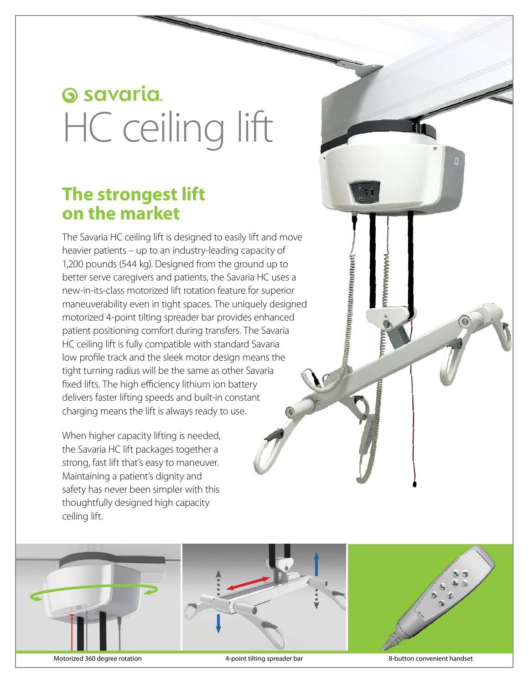# **G** savaria HC ceiling lift

### **The strongest lift on the market**

The Savaria HC ceiling lift is designed to easily lift and move heavier patients – up to an industry-leading capacity of 1,200 pounds (544 kg). Designed from the ground up to better serve caregivers and patients, the Savaria HC uses a new-in-its-class motorized lift rotation feature for superior maneuverability even in tight spaces. The uniquely designed motorized 4-point tilting spreader bar provides enhanced patient positioning comfort during transfers. The Savaria HC ceiling lift is fully compatible with standard Savaria low profile track and the sleek motor design means the tight turning radius will be the same as other Savaria fixed lifts. The high efficiency lithium ion battery delivers faster lifting speeds and built-in constant charging means the lift is always ready to use.

When higher capacity lifting is needed, the Savaria HC lift packages together a strong, fast lift that's easy to maneuver. Maintaining a patient's dignity and safety has never been simpler with this thoughtfully designed high capacity ceiling lift.



wwwwwww

uunamanaanaanaa